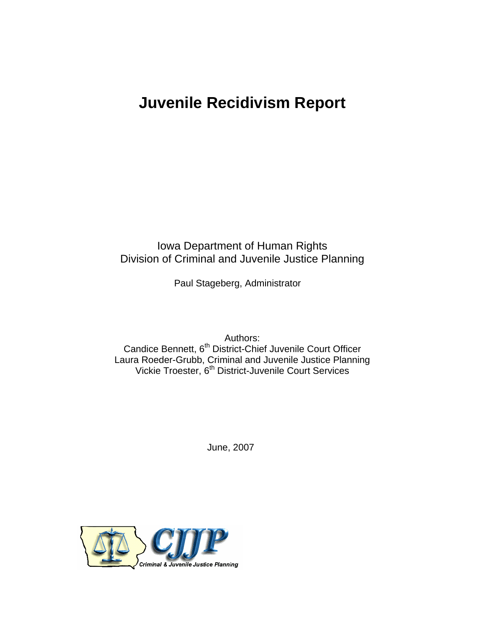## **Juvenile Recidivism Report**

Iowa Department of Human Rights Division of Criminal and Juvenile Justice Planning

Paul Stageberg, Administrator

Authors: Candice Bennett, 6<sup>th</sup> District-Chief Juvenile Court Officer Laura Roeder-Grubb, Criminal and Juvenile Justice Planning Vickie Troester, 6<sup>th</sup> District-Juvenile Court Services

June, 2007

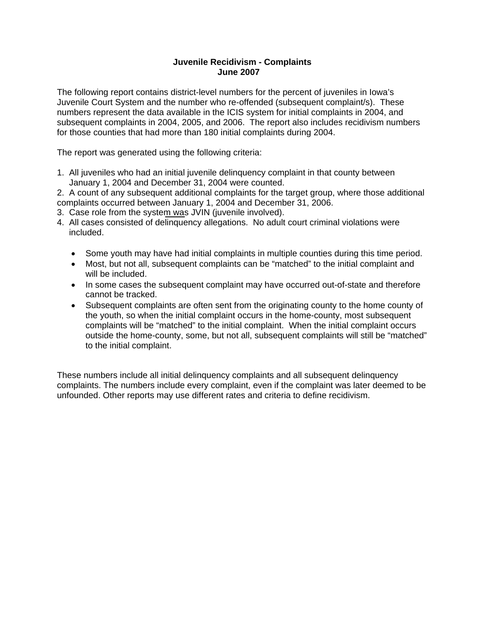## **Juvenile Recidivism - Complaints June 2007**

The following report contains district-level numbers for the percent of juveniles in Iowa's Juvenile Court System and the number who re-offended (subsequent complaint/s). These numbers represent the data available in the ICIS system for initial complaints in 2004, and subsequent complaints in 2004, 2005, and 2006. The report also includes recidivism numbers for those counties that had more than 180 initial complaints during 2004.

The report was generated using the following criteria:

1. All juveniles who had an initial juvenile delinquency complaint in that county between January 1, 2004 and December 31, 2004 were counted.

2. A count of any subsequent additional complaints for the target group, where those additional complaints occurred between January 1, 2004 and December 31, 2006.

- 3. Case role from the system was JVIN (juvenile involved).
- 4. All cases consisted of delinquency allegations. No adult court criminal violations were included.
	- Some youth may have had initial complaints in multiple counties during this time period.
	- Most, but not all, subsequent complaints can be "matched" to the initial complaint and will be included.
	- In some cases the subsequent complaint may have occurred out-of-state and therefore cannot be tracked.
	- Subsequent complaints are often sent from the originating county to the home county of the youth, so when the initial complaint occurs in the home-county, most subsequent complaints will be "matched" to the initial complaint. When the initial complaint occurs outside the home-county, some, but not all, subsequent complaints will still be "matched" to the initial complaint.

These numbers include all initial delinquency complaints and all subsequent delinquency complaints. The numbers include every complaint, even if the complaint was later deemed to be unfounded. Other reports may use different rates and criteria to define recidivism.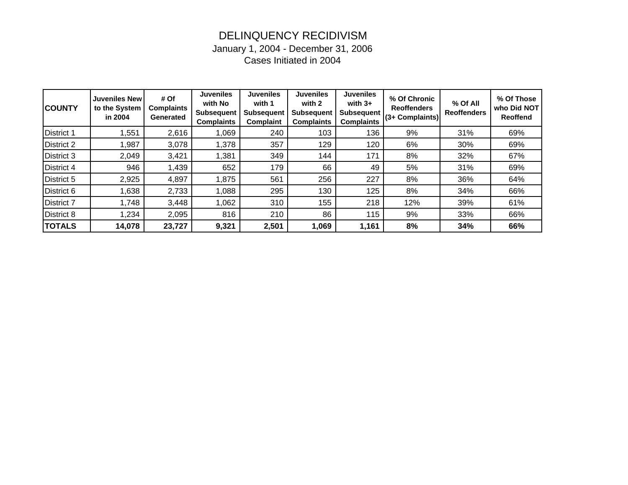## DELINQUENCY RECIDIVISM January 1, 2004 - December 31, 2006

Cases Initiated in 2004

| <b>COUNTY</b>     | <b>Juveniles New</b><br>to the System<br>in 2004 | # Of<br><b>Complaints</b><br>Generated | <b>Juveniles</b><br>with No<br><b>Subsequent</b><br><b>Complaints</b> | <b>Juveniles</b><br>with 1<br><b>Subsequent</b><br><b>Complaint</b> | <b>Juveniles</b><br>with 2<br><b>Subsequent</b><br><b>Complaints</b> | <b>Juveniles</b><br>with $3+$<br><b>Subsequent</b><br><b>Complaints</b> | % Of Chronic<br><b>Reoffenders</b><br>(3+ Complaints) | % Of All<br><b>Reoffenders</b> | % Of Those<br>who Did NOT<br><b>Reoffend</b> |
|-------------------|--------------------------------------------------|----------------------------------------|-----------------------------------------------------------------------|---------------------------------------------------------------------|----------------------------------------------------------------------|-------------------------------------------------------------------------|-------------------------------------------------------|--------------------------------|----------------------------------------------|
| <b>District 1</b> | 1,551                                            | 2,616                                  | 1,069                                                                 | 240                                                                 | 103                                                                  | 136                                                                     | 9%                                                    | 31%                            | 69%                                          |
| <b>District 2</b> | 1,987                                            | 3,078                                  | 1,378                                                                 | 357                                                                 | 129                                                                  | 120                                                                     | 6%                                                    | 30%                            | 69%                                          |
| District 3        | 2,049                                            | 3,421                                  | 1,381                                                                 | 349                                                                 | 144                                                                  | 171                                                                     | 8%                                                    | 32%                            | 67%                                          |
| <b>District 4</b> | 946                                              | 1,439                                  | 652                                                                   | 179                                                                 | 66                                                                   | 49                                                                      | 5%                                                    | 31%                            | 69%                                          |
| District 5        | 2,925                                            | 4,897                                  | 1,875                                                                 | 561                                                                 | 256                                                                  | 227                                                                     | 8%                                                    | 36%                            | 64%                                          |
| District 6        | 1,638                                            | 2,733                                  | 1,088                                                                 | 295                                                                 | 130                                                                  | 125                                                                     | 8%                                                    | 34%                            | 66%                                          |
| <b>District 7</b> | 1,748                                            | 3,448                                  | 1,062                                                                 | 310                                                                 | 155                                                                  | 218                                                                     | 12%                                                   | 39%                            | 61%                                          |
| District 8        | 1,234                                            | 2,095                                  | 816                                                                   | 210                                                                 | 86                                                                   | 115                                                                     | 9%                                                    | 33%                            | 66%                                          |
| <b>TOTALS</b>     | 14,078                                           | 23,727                                 | 9,321                                                                 | 2,501                                                               | 1,069                                                                | 1,161                                                                   | 8%                                                    | 34%                            | 66%                                          |